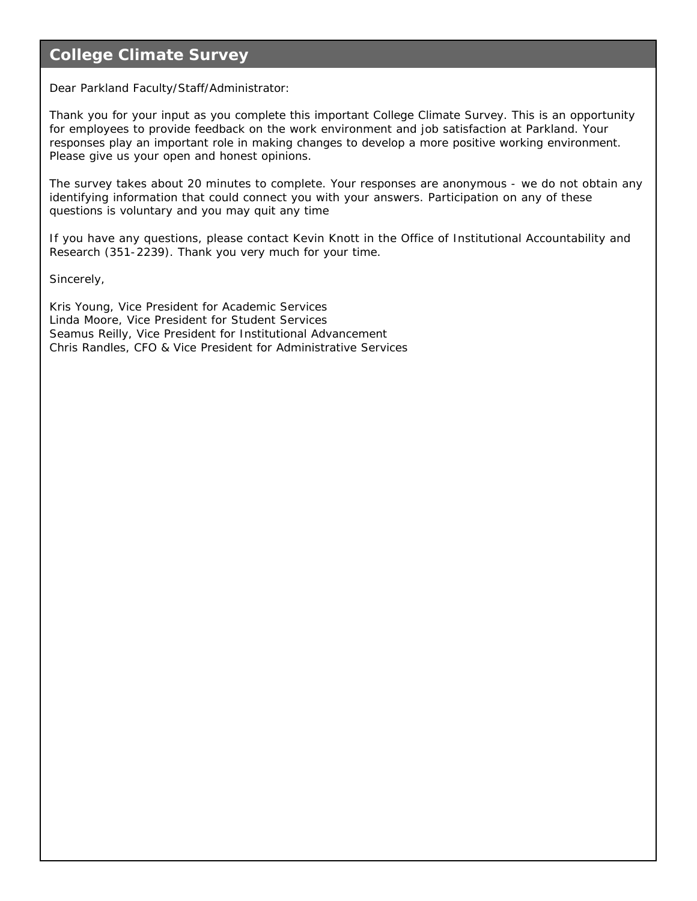### **College Climate Survey**

Dear Parkland Faculty/Staff/Administrator:

Thank you for your input as you complete this important College Climate Survey. This is an opportunity for employees to provide feedback on the work environment and job satisfaction at Parkland. Your responses play an important role in making changes to develop a more positive working environment. Please give us your open and honest opinions.

The survey takes about 20 minutes to complete. Your responses are anonymous - we do not obtain any identifying information that could connect you with your answers. Participation on any of these questions is voluntary and you may quit any time

If you have any questions, please contact Kevin Knott in the Office of Institutional Accountability and Research (351-2239). Thank you very much for your time.

Sincerely,

Kris Young, Vice President for Academic Services Linda Moore, Vice President for Student Services Seamus Reilly, Vice President for Institutional Advancement Chris Randles, CFO & Vice President for Administrative Services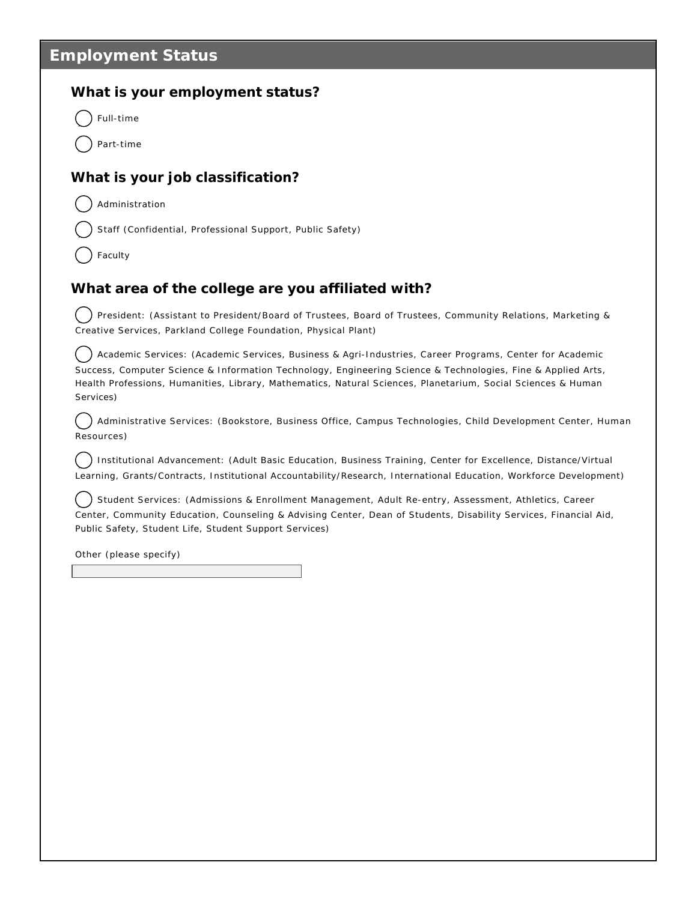### **Employment Status**

#### **What is your employment status?**

Full-time

Part-time

### **What is your job classification?**

Administration

Staff (Confidential, Professional Support, Public Safety)

Faculty

#### **What area of the college are you affiliated with?**

) President: (Assistant to President/Board of Trustees, Board of Trustees, Community Relations, Marketing & Creative Services, Parkland College Foundation, Physical Plant)

) Academic Services: (Academic Services, Business & Agri-Industries, Career Programs, Center for Academic Success, Computer Science & Information Technology, Engineering Science & Technologies, Fine & Applied Arts, Health Professions, Humanities, Library, Mathematics, Natural Sciences, Planetarium, Social Sciences & Human Services)

Administrative Services: (Bookstore, Business Office, Campus Technologies, Child Development Center, Human Resources)  $)$ 

) Institutional Advancement: (Adult Basic Education, Business Training, Center for Excellence, Distance/Virtual Learning, Grants/Contracts, Institutional Accountability/Research, International Education, Workforce Development)

) Student Services: (Admissions & Enrollment Management, Adult Re-entry, Assessment, Athletics, Career Center, Community Education, Counseling & Advising Center, Dean of Students, Disability Services, Financial Aid, Public Safety, Student Life, Student Support Services)

Other (please specify)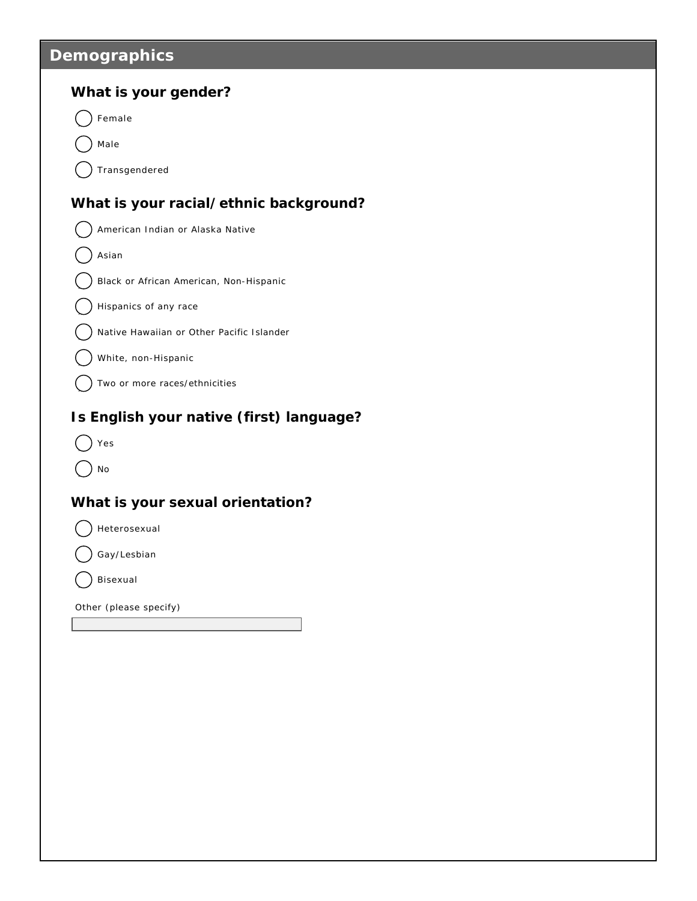# **Demographics**

| What is your gender?                      |
|-------------------------------------------|
| Female                                    |
| Male                                      |
| Transgendered                             |
| What is your racial/ethnic background?    |
| American Indian or Alaska Native          |
| Asian                                     |
| Black or African American, Non-Hispanic   |
| Hispanics of any race                     |
| Native Hawaiian or Other Pacific Islander |
| White, non-Hispanic                       |
| Two or more races/ethnicities             |
| Is English your native (first) language?  |
| Yes                                       |
| No                                        |
| What is your sexual orientation?          |
| Heterosexual                              |
| Gay/Lesbian                               |
| Bisexual                                  |
| Other (please specify)                    |
|                                           |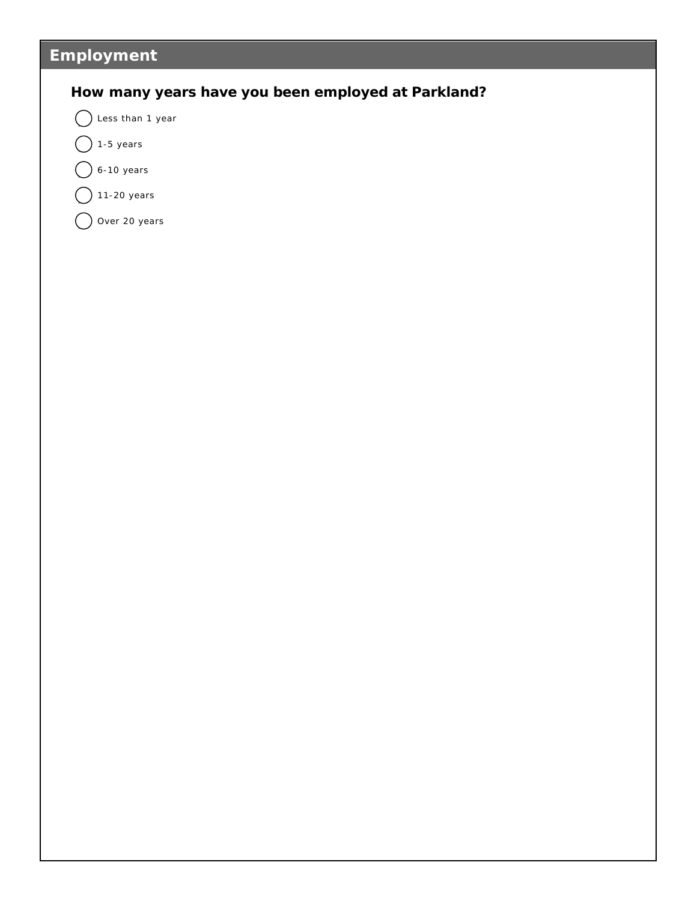# **Employment**

### **How many years have you been employed at Parkland?**

 $\bigcap$  Less than 1 year

- $\bigcirc$  1-5 years
- $\big)$  6-10 years
- $11-20$  years
- $\bigcirc$  Over 20 years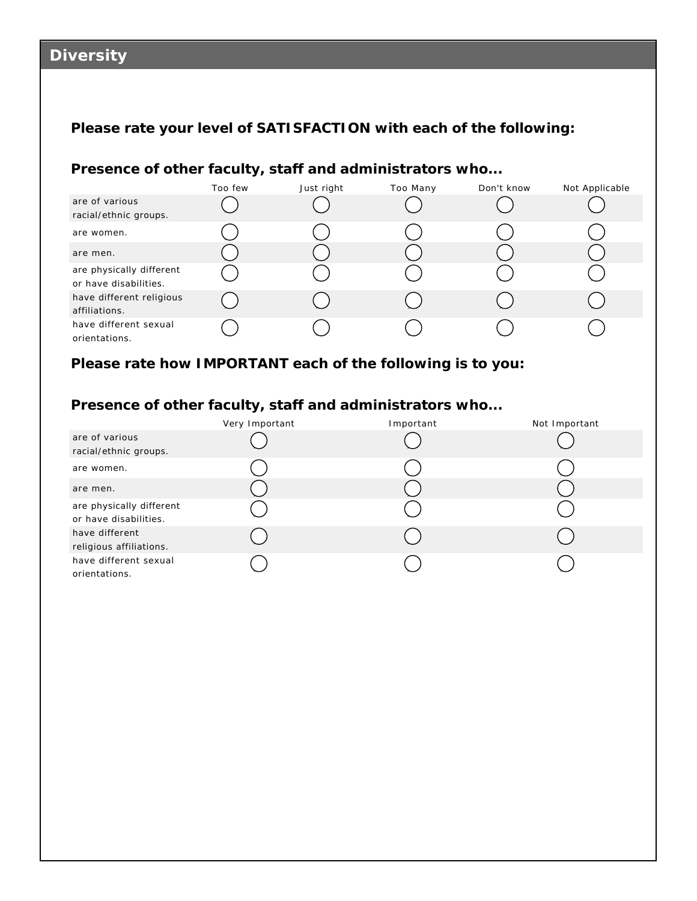# **Diversity**

### **Please rate your level of SATISFACTION with each of the following:**

### **Presence of other faculty, staff and administrators who...**

|                                                   | Too few | Just right | Too Many | Don't know | Not Applicable |
|---------------------------------------------------|---------|------------|----------|------------|----------------|
| are of various                                    |         |            |          |            |                |
| racial/ethnic groups.                             |         |            |          |            |                |
| are women.                                        |         |            |          |            |                |
| are men.                                          |         |            |          |            |                |
| are physically different<br>or have disabilities. |         |            |          |            |                |
| have different religious<br>affiliations.         |         |            |          |            |                |
| have different sexual<br>orientations.            |         |            |          |            |                |

**Please rate how IMPORTANT each of the following is to you:**

### **Presence of other faculty, staff and administrators who...**

|                          | Very Important | Important | Not Important |
|--------------------------|----------------|-----------|---------------|
| are of various           |                |           |               |
| racial/ethnic groups.    |                |           |               |
| are women.               |                |           |               |
| are men.                 |                |           |               |
| are physically different |                |           |               |
| or have disabilities.    |                |           |               |
| have different           |                |           |               |
| religious affiliations.  |                |           |               |
| have different sexual    |                |           |               |
| orientations.            |                |           |               |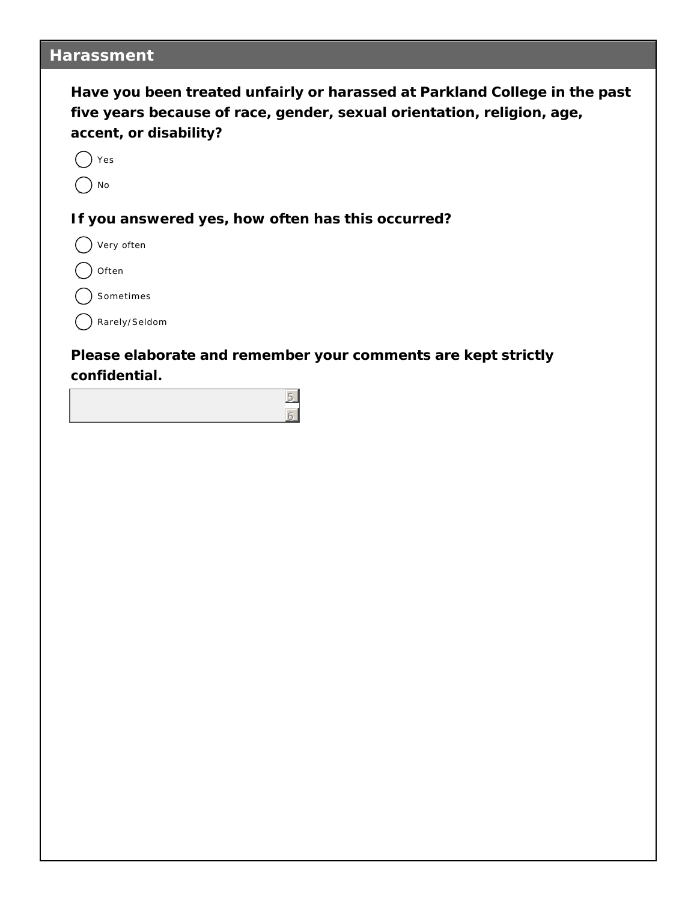### **Harassment**

| Have you been treated unfairly or harassed at Parkland College in the past |
|----------------------------------------------------------------------------|
| five years because of race, gender, sexual orientation, religion, age,     |
| accent, or disability?                                                     |

 $()$  Yes

) No

**If you answered yes, how often has this occurred?**

 $\bigcap$  Very often

Often

) Sometimes

 $\bigcap$  Rarely/Seldom

**Please elaborate and remember your comments are kept strictly confidential.**

> 5 6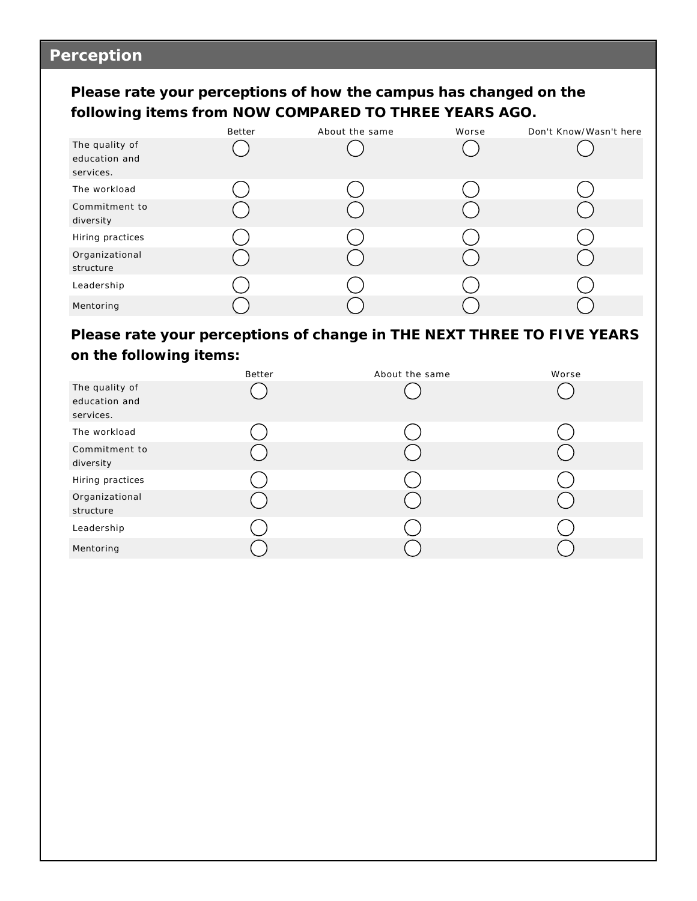# **Perception**

**Please rate your perceptions of how the campus has changed on the following items from NOW COMPARED TO THREE YEARS AGO.**

|                                              | Better | About the same | Worse | Don't Know/Wasn't here |
|----------------------------------------------|--------|----------------|-------|------------------------|
| The quality of<br>education and<br>services. |        |                |       |                        |
| The workload                                 |        |                |       |                        |
| Commitment to<br>diversity                   |        |                |       |                        |
| Hiring practices                             |        |                |       |                        |
| Organizational<br>structure                  |        |                |       |                        |
| Leadership                                   |        |                |       |                        |
| Mentoring                                    |        |                |       |                        |

**Please rate your perceptions of change in THE NEXT THREE TO FIVE YEARS on the following items:**

|                                              | Better | About the same | Worse |
|----------------------------------------------|--------|----------------|-------|
| The quality of<br>education and<br>services. |        |                |       |
| The workload                                 |        |                |       |
| Commitment to<br>diversity                   |        |                |       |
| Hiring practices                             |        |                |       |
| Organizational<br>structure                  |        |                |       |
| Leadership                                   |        |                |       |
| Mentoring                                    |        |                |       |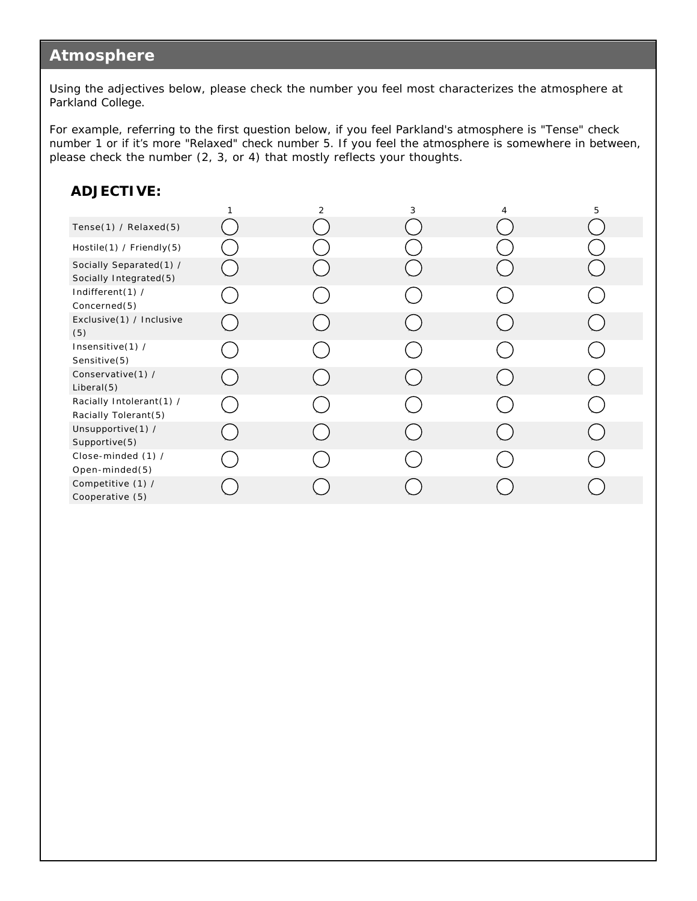### **Atmosphere**

Using the adjectives below, please check the number you feel most characterizes the atmosphere at Parkland College.

For example, referring to the first question below, if you feel Parkland's atmosphere is "Tense" check number 1 or if it's more "Relaxed" check number 5. If you feel the atmosphere is somewhere in between, please check the number (2, 3, or 4) that mostly reflects your thoughts.

#### **ADJECTIVE:**

|                                                   | $\overline{2}$ | 3 | 4 | 5 |
|---------------------------------------------------|----------------|---|---|---|
| Tense $(1)$ / Relaxed $(5)$                       |                |   |   |   |
| Hostile(1) / Friendly(5)                          |                |   |   |   |
| Socially Separated(1) /<br>Socially Integrated(5) |                |   |   |   |
| Indifferent(1) /<br>Concerned(5)                  |                |   |   |   |
| Exclusive(1) / Inclusive<br>(5)                   |                |   |   |   |
| Insensitive(1) /<br>Sensitive(5)                  |                |   |   |   |
| Conservative(1) /<br>Liberal(5)                   |                |   |   |   |
| Racially Intolerant(1) /<br>Racially Tolerant(5)  |                |   |   |   |
| Unsupportive(1) /<br>Supportive(5)                |                |   |   |   |
| Close-minded (1) /<br>Open-minded(5)              |                |   |   |   |
| Competitive (1) /<br>Cooperative (5)              |                |   |   |   |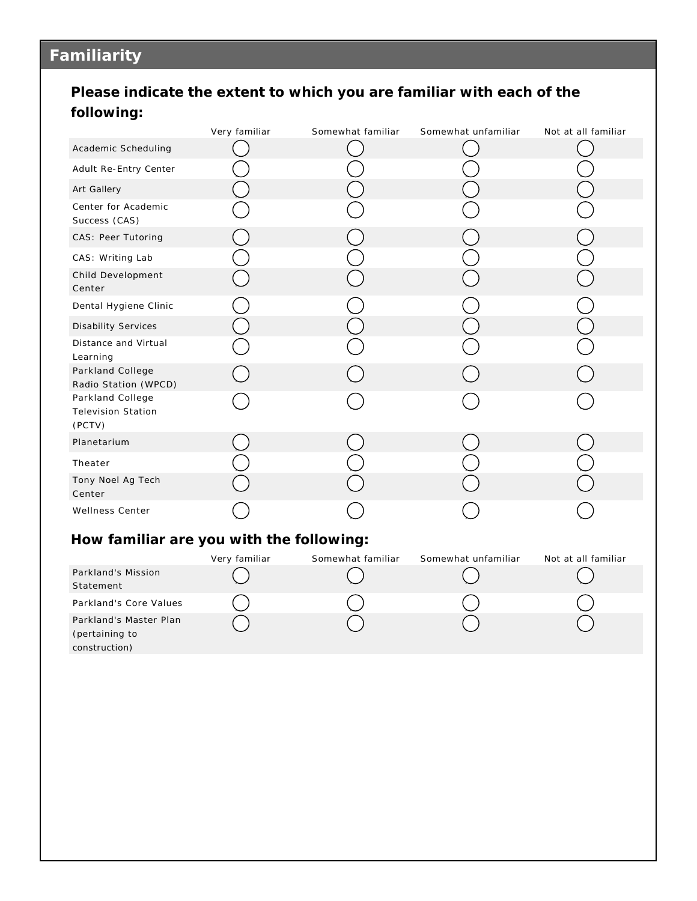# **Familiarity**

## **Please indicate the extent to which you are familiar with each of the following:**

|                                                           | Very familiar | Somewhat familiar | Somewhat unfamiliar | Not at all familiar |
|-----------------------------------------------------------|---------------|-------------------|---------------------|---------------------|
| Academic Scheduling                                       |               |                   |                     |                     |
| Adult Re-Entry Center                                     |               |                   |                     |                     |
| Art Gallery                                               |               |                   |                     |                     |
| Center for Academic<br>Success (CAS)                      |               |                   |                     |                     |
| CAS: Peer Tutoring                                        |               |                   |                     |                     |
| CAS: Writing Lab                                          |               |                   |                     |                     |
| Child Development<br>Center                               |               |                   |                     |                     |
| Dental Hygiene Clinic                                     |               |                   |                     |                     |
| <b>Disability Services</b>                                |               |                   |                     |                     |
| Distance and Virtual<br>Learning                          |               |                   |                     |                     |
| Parkland College<br>Radio Station (WPCD)                  |               |                   |                     |                     |
| Parkland College<br><b>Television Station</b><br>(PCTV)   |               |                   |                     |                     |
| Planetarium                                               |               |                   |                     |                     |
| Theater                                                   |               |                   |                     |                     |
| Tony Noel Ag Tech<br>Center                               |               |                   |                     |                     |
| Wellness Center                                           |               |                   |                     |                     |
| How familiar are you with the following:                  |               |                   |                     |                     |
|                                                           | Very familiar | Somewhat familiar | Somewhat unfamiliar | Not at all familiar |
| Parkland's Mission<br>Statement                           |               |                   |                     |                     |
| Parkland's Core Values                                    |               |                   |                     |                     |
| Parkland's Master Plan<br>(pertaining to<br>construction) |               |                   |                     |                     |
|                                                           |               |                   |                     |                     |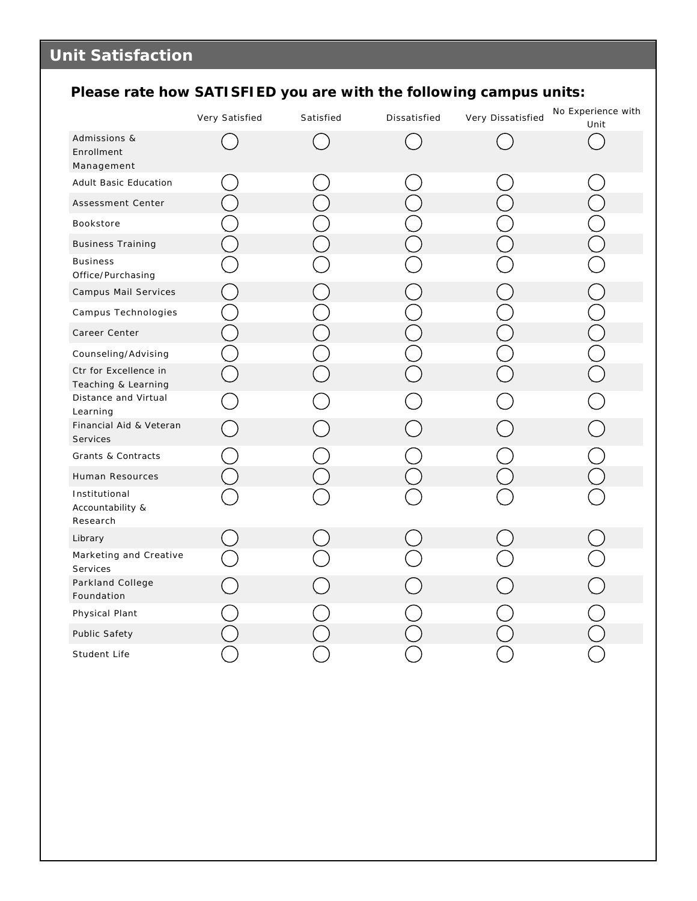# **Please rate how SATISFIED you are with the following campus units:**

|                                               | Very Satisfied | Satisfied | Dissatisfied | Very Dissatisfied | No Experience with<br>Unit |
|-----------------------------------------------|----------------|-----------|--------------|-------------------|----------------------------|
| Admissions &<br>Enrollment<br>Management      |                |           |              |                   |                            |
| Adult Basic Education                         |                |           |              |                   |                            |
| Assessment Center                             |                |           |              |                   |                            |
| Bookstore                                     |                |           |              |                   |                            |
| <b>Business Training</b>                      |                |           |              |                   |                            |
| <b>Business</b><br>Office/Purchasing          |                |           |              |                   |                            |
| Campus Mail Services                          |                |           |              |                   |                            |
| Campus Technologies                           |                |           |              |                   |                            |
| Career Center                                 |                |           |              |                   |                            |
| Counseling/Advising                           |                |           |              |                   |                            |
| Ctr for Excellence in<br>Teaching & Learning  |                |           |              |                   |                            |
| Distance and Virtual<br>Learning              |                |           |              |                   |                            |
| Financial Aid & Veteran<br><b>Services</b>    |                |           |              |                   |                            |
| Grants & Contracts                            |                |           |              |                   |                            |
| Human Resources                               |                |           |              |                   |                            |
| Institutional<br>Accountability &<br>Research |                |           |              |                   |                            |
| Library                                       |                |           |              |                   |                            |
| Marketing and Creative<br>Services            |                |           |              |                   |                            |
| Parkland College<br>Foundation                |                |           |              |                   |                            |
| Physical Plant                                |                |           |              |                   |                            |
| Public Safety                                 |                |           |              |                   |                            |
| Student Life                                  |                |           |              |                   |                            |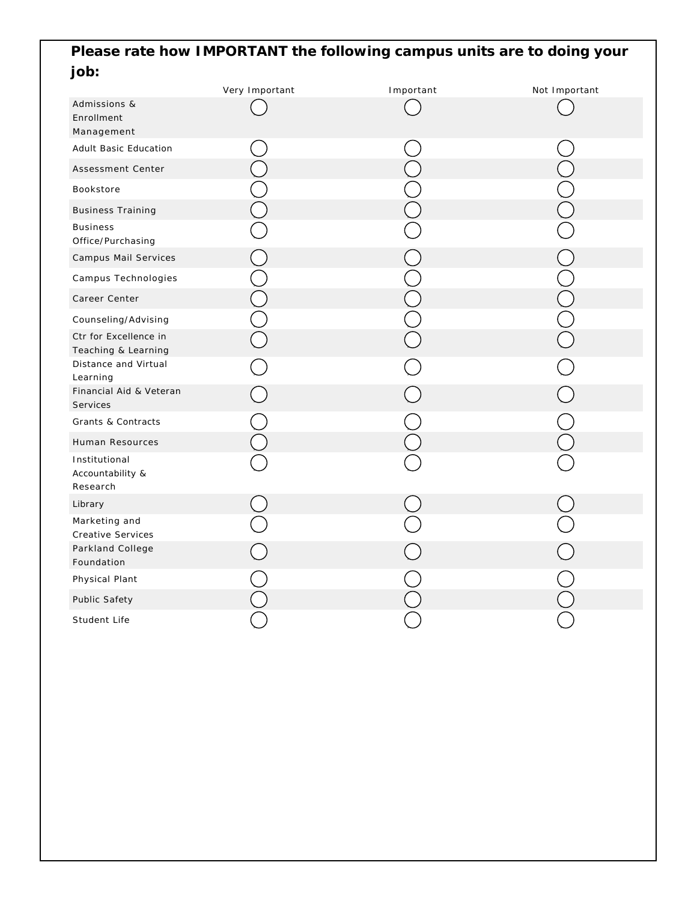## **Please rate how IMPORTANT the following campus units are to doing your job:**

|                                               | Very Important | Important | Not Important |
|-----------------------------------------------|----------------|-----------|---------------|
| Admissions &<br>Enrollment<br>Management      |                |           |               |
| Adult Basic Education                         |                |           |               |
| Assessment Center                             |                |           |               |
| Bookstore                                     |                |           |               |
| <b>Business Training</b>                      |                |           |               |
| <b>Business</b><br>Office/Purchasing          |                |           |               |
| Campus Mail Services                          |                |           |               |
| Campus Technologies                           |                |           |               |
| Career Center                                 |                |           |               |
| Counseling/Advising                           |                |           |               |
| Ctr for Excellence in<br>Teaching & Learning  |                |           |               |
| Distance and Virtual<br>Learning              |                |           |               |
| Financial Aid & Veteran<br>Services           |                |           |               |
| Grants & Contracts                            |                |           |               |
| Human Resources                               |                |           |               |
| Institutional<br>Accountability &<br>Research |                |           |               |
| Library                                       |                |           |               |
| Marketing and<br><b>Creative Services</b>     |                |           |               |
| Parkland College<br>Foundation                |                |           |               |
| Physical Plant                                |                |           |               |
| Public Safety                                 |                |           |               |
| Student Life                                  |                |           |               |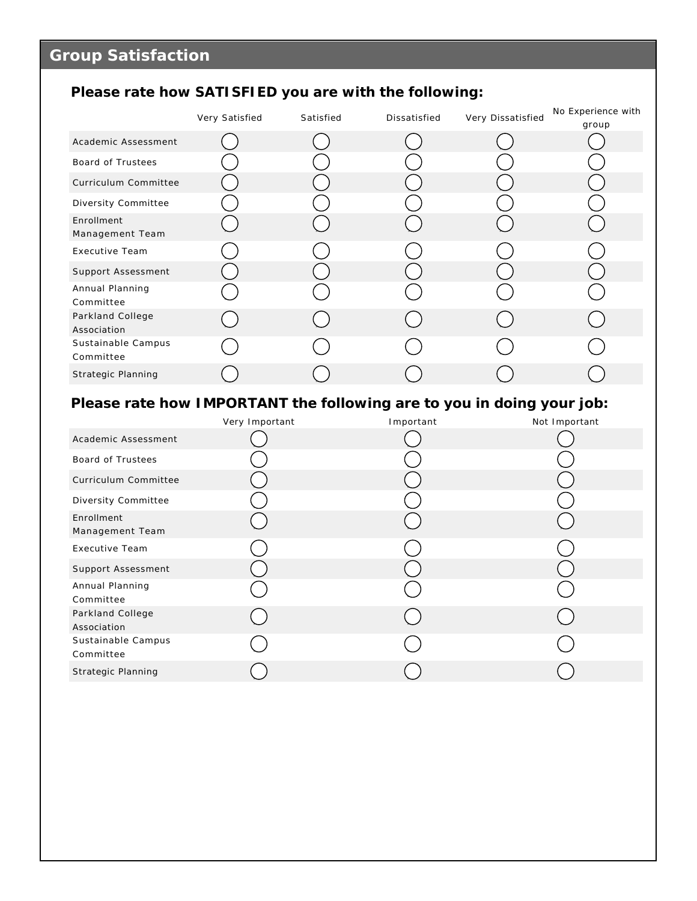# **Please rate how SATISFIED you are with the following:**

|                                 | Very Satisfied | Satisfied | Dissatisfied | Very Dissatisfied | No Experience with |
|---------------------------------|----------------|-----------|--------------|-------------------|--------------------|
|                                 |                |           |              |                   | group              |
| Academic Assessment             |                |           |              |                   |                    |
| Board of Trustees               |                |           |              |                   |                    |
| Curriculum Committee            |                |           |              |                   |                    |
| Diversity Committee             |                |           |              |                   |                    |
| Enrollment<br>Management Team   |                |           |              |                   |                    |
| <b>Executive Team</b>           |                |           |              |                   |                    |
| Support Assessment              |                |           |              |                   |                    |
| Annual Planning<br>Committee    |                |           |              |                   |                    |
| Parkland College<br>Association |                |           |              |                   |                    |
| Sustainable Campus<br>Committee |                |           |              |                   |                    |
| Strategic Planning              |                |           |              |                   |                    |

# **Please rate how IMPORTANT the following are to you in doing your job:**

|                                 | Very Important | Important | Not Important |
|---------------------------------|----------------|-----------|---------------|
| Academic Assessment             |                |           |               |
| Board of Trustees               |                |           |               |
| Curriculum Committee            |                |           |               |
| Diversity Committee             |                |           |               |
| Enrollment<br>Management Team   |                |           |               |
| Executive Team                  |                |           |               |
| Support Assessment              |                |           |               |
| Annual Planning<br>Committee    |                |           |               |
| Parkland College<br>Association |                |           |               |
| Sustainable Campus<br>Committee |                |           |               |
| Strategic Planning              |                |           |               |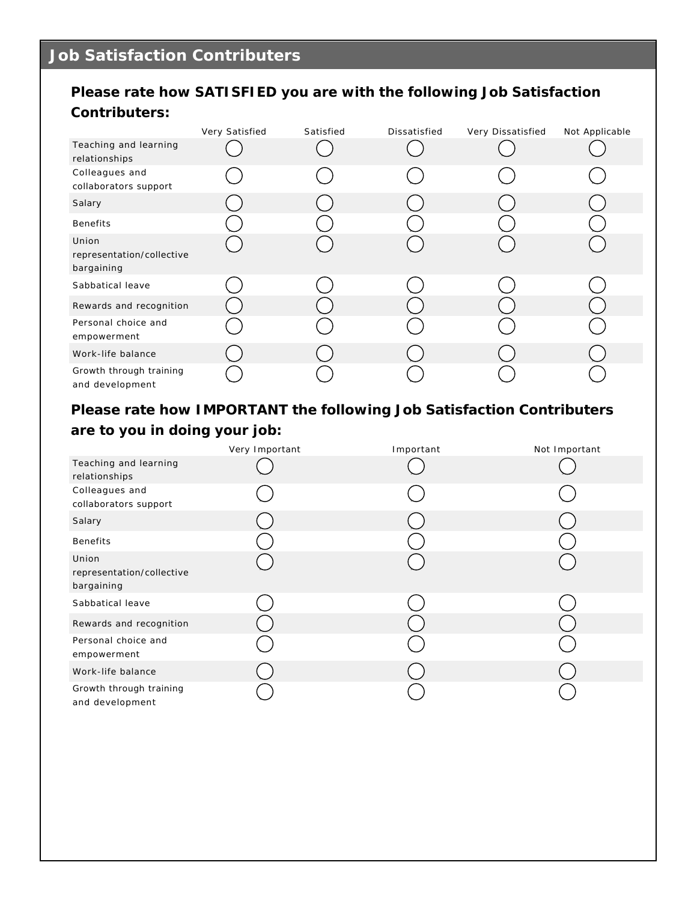### **Please rate how SATISFIED you are with the following Job Satisfaction Contributers:**

|                                                  | Very Satisfied | Satisfied | Dissatisfied | Very Dissatisfied | Not Applicable |
|--------------------------------------------------|----------------|-----------|--------------|-------------------|----------------|
| Teaching and learning<br>relationships           |                |           |              |                   |                |
| Colleagues and<br>collaborators support          |                |           |              |                   |                |
| Salary                                           |                |           |              |                   |                |
| <b>Benefits</b>                                  |                |           |              |                   |                |
| Union<br>representation/collective<br>bargaining |                |           |              |                   |                |
| Sabbatical leave                                 |                |           |              |                   |                |
| Rewards and recognition                          |                |           |              |                   |                |
| Personal choice and<br>empowerment               |                |           |              |                   |                |
| Work-life balance                                |                |           |              |                   |                |
| Growth through training<br>and development       |                |           |              |                   |                |

**Please rate how IMPORTANT the following Job Satisfaction Contributers are to you in doing your job:**

|                                                  | Very Important | Important | Not Important |
|--------------------------------------------------|----------------|-----------|---------------|
| Teaching and learning<br>relationships           |                |           |               |
| Colleagues and<br>collaborators support          |                |           |               |
| Salary                                           |                |           |               |
| <b>Benefits</b>                                  |                |           |               |
| Union<br>representation/collective<br>bargaining |                |           |               |
| Sabbatical leave                                 |                |           |               |
| Rewards and recognition                          |                |           |               |
| Personal choice and<br>empowerment               |                |           |               |
| Work-life balance                                |                |           |               |
| Growth through training<br>and development       |                |           |               |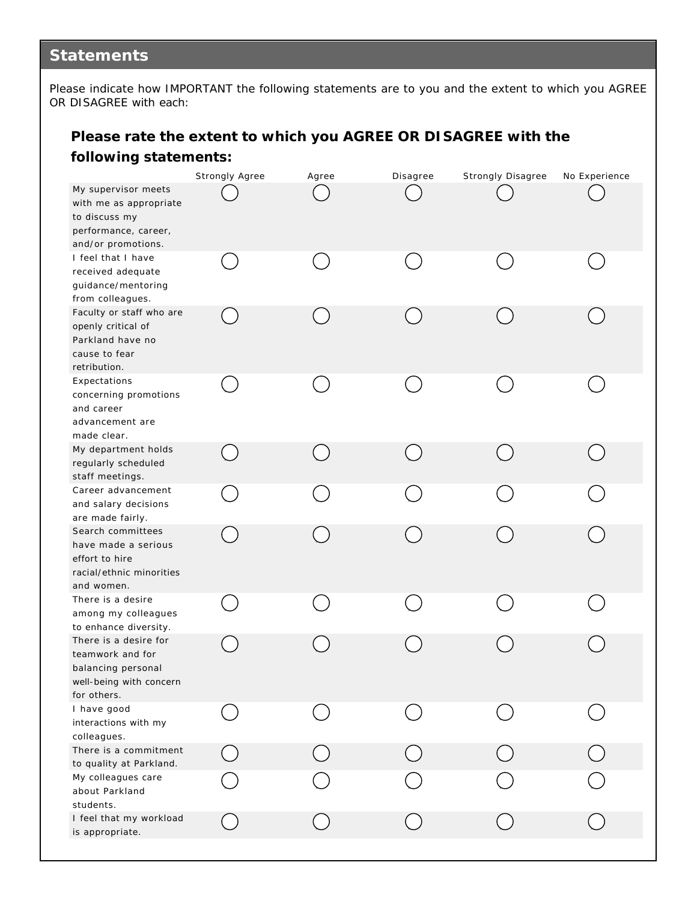## **Statements**

Please indicate how IMPORTANT the following statements are to you and the extent to which you AGREE OR DISAGREE with each:

### **Please rate the extent to which you AGREE OR DISAGREE with the following statements:**

|                                                                                                              | Strongly Agree | Agree | Disagree | Strongly Disagree | No Experience |
|--------------------------------------------------------------------------------------------------------------|----------------|-------|----------|-------------------|---------------|
| My supervisor meets<br>with me as appropriate<br>to discuss my<br>performance, career,<br>and/or promotions. |                |       |          |                   |               |
| I feel that I have<br>received adequate<br>guidance/mentoring<br>from colleagues.                            |                |       |          |                   |               |
| Faculty or staff who are<br>openly critical of<br>Parkland have no<br>cause to fear<br>retribution.          |                |       |          |                   |               |
| Expectations<br>concerning promotions<br>and career<br>advancement are<br>made clear.                        |                |       |          |                   |               |
| My department holds<br>regularly scheduled<br>staff meetings.                                                |                |       |          |                   |               |
| Career advancement<br>and salary decisions<br>are made fairly.                                               |                |       |          |                   |               |
| Search committees<br>have made a serious<br>effort to hire<br>racial/ethnic minorities<br>and women.         |                |       |          |                   |               |
| There is a desire<br>among my colleagues<br>to enhance diversity.                                            |                |       |          |                   |               |
| There is a desire for<br>teamwork and for<br>balancing personal<br>well-being with concern<br>for others.    |                |       |          |                   |               |
| I have good<br>interactions with my<br>colleagues.                                                           |                |       |          |                   |               |
| There is a commitment<br>to quality at Parkland.                                                             |                |       |          |                   |               |
| My colleagues care<br>about Parkland<br>students.                                                            |                |       |          |                   |               |
| I feel that my workload<br>is appropriate.                                                                   |                |       |          |                   |               |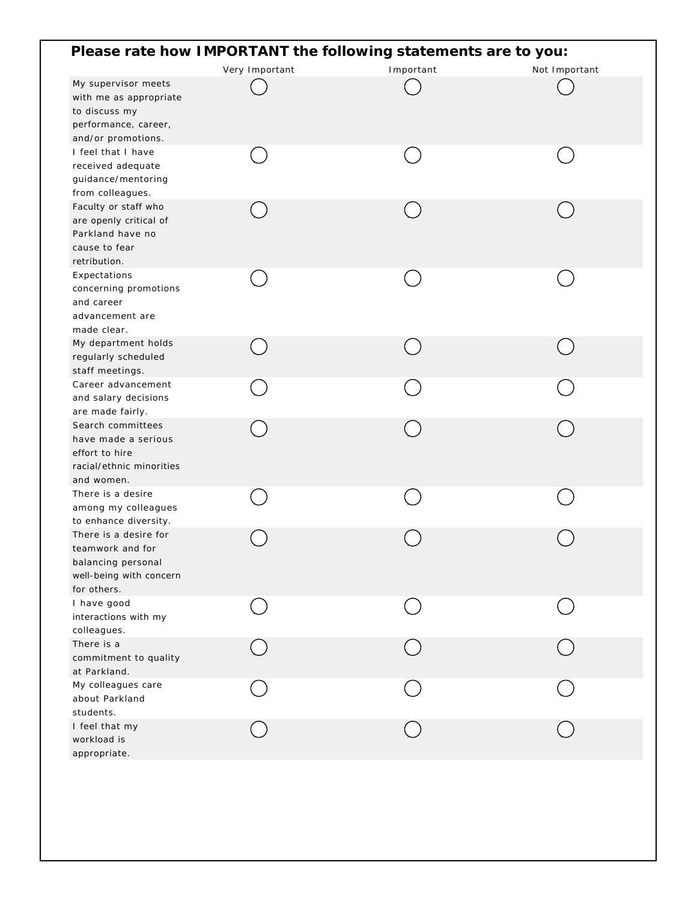|                                                                                                              |                | Please rate how IMPORTANT the following statements are to you: |               |
|--------------------------------------------------------------------------------------------------------------|----------------|----------------------------------------------------------------|---------------|
|                                                                                                              | Very Important | Important                                                      | Not Important |
| My supervisor meets<br>with me as appropriate<br>to discuss my<br>performance, career,<br>and/or promotions. |                |                                                                |               |
| I feel that I have<br>received adequate<br>guidance/mentoring<br>from colleagues.                            |                |                                                                |               |
| Faculty or staff who<br>are openly critical of<br>Parkland have no<br>cause to fear<br>retribution.          |                |                                                                |               |
| Expectations<br>concerning promotions<br>and career<br>advancement are<br>made clear.                        |                |                                                                |               |
| My department holds<br>regularly scheduled<br>staff meetings.                                                |                |                                                                |               |
| Career advancement<br>and salary decisions<br>are made fairly.                                               |                |                                                                |               |
| Search committees<br>have made a serious<br>effort to hire<br>racial/ethnic minorities<br>and women.         |                |                                                                |               |
| There is a desire<br>among my colleagues<br>to enhance diversity.                                            |                |                                                                |               |
| There is a desire for<br>teamwork and for<br>balancing personal<br>well-being with concern<br>for others.    |                |                                                                |               |
| I have good<br>interactions with my<br>colleagues.                                                           |                |                                                                |               |
| There is a<br>commitment to quality<br>at Parkland.                                                          |                |                                                                |               |
| My colleagues care<br>about Parkland<br>students.                                                            |                |                                                                |               |
| I feel that my<br>workload is<br>appropriate.                                                                |                |                                                                |               |
|                                                                                                              |                |                                                                |               |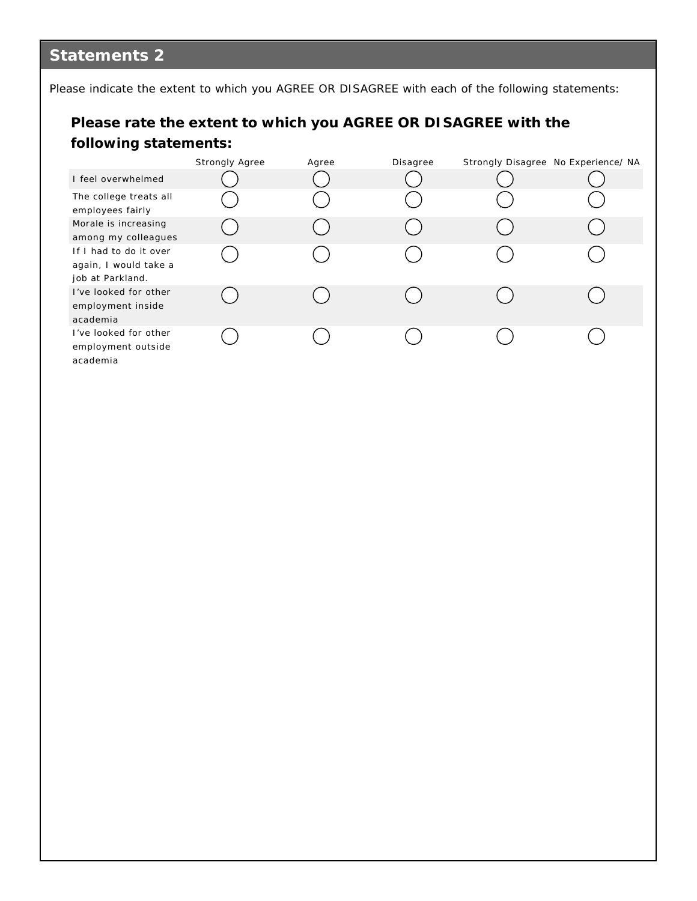# **Statements 2**

Please indicate the extent to which you AGREE OR DISAGREE with each of the following statements:

### **Please rate the extent to which you AGREE OR DISAGREE with the following statements:**

|                                                                     | Strongly Agree | Agree | Disagree | Strongly Disagree No Experience/ NA |
|---------------------------------------------------------------------|----------------|-------|----------|-------------------------------------|
| I feel overwhelmed                                                  |                |       |          |                                     |
| The college treats all<br>employees fairly                          |                |       |          |                                     |
| Morale is increasing<br>among my colleagues                         |                |       |          |                                     |
| If I had to do it over<br>again, I would take a<br>job at Parkland. |                |       |          |                                     |
| I've looked for other<br>employment inside<br>academia              |                |       |          |                                     |
| I've looked for other<br>employment outside<br>academia             |                |       |          |                                     |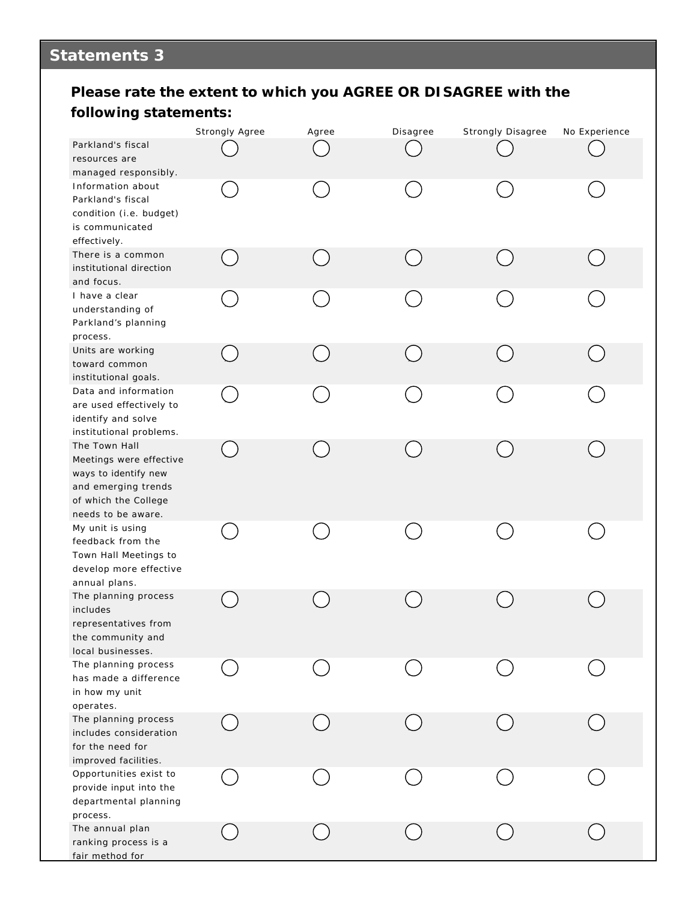# **Statements 3**

### **Please rate the extent to which you AGREE OR DISAGREE with the following statements:**

|                                                                                                                                       | Strongly Agree | Agree | Disagree | Strongly Disagree | No Experience |
|---------------------------------------------------------------------------------------------------------------------------------------|----------------|-------|----------|-------------------|---------------|
| Parkland's fiscal<br>resources are<br>managed responsibly.                                                                            |                |       |          |                   |               |
| Information about<br>Parkland's fiscal<br>condition (i.e. budget)<br>is communicated<br>effectively.                                  |                |       |          |                   |               |
| There is a common<br>institutional direction<br>and focus.                                                                            |                |       |          |                   |               |
| I have a clear<br>understanding of<br>Parkland's planning<br>process.                                                                 |                |       |          |                   |               |
| Units are working<br>toward common<br>institutional goals.                                                                            |                |       |          |                   |               |
| Data and information<br>are used effectively to<br>identify and solve<br>institutional problems.                                      |                |       |          |                   |               |
| The Town Hall<br>Meetings were effective<br>ways to identify new<br>and emerging trends<br>of which the College<br>needs to be aware. |                |       |          |                   |               |
| My unit is using<br>feedback from the<br>Town Hall Meetings to<br>develop more effective<br>annual plans.                             |                |       |          |                   |               |
| The planning process<br>includes<br>representatives from<br>the community and<br>local businesses.                                    |                |       |          |                   |               |
| The planning process<br>has made a difference<br>in how my unit<br>operates.                                                          |                |       |          |                   |               |
| The planning process<br>includes consideration<br>for the need for<br>improved facilities.                                            |                |       |          |                   |               |
| Opportunities exist to<br>provide input into the<br>departmental planning<br>process.                                                 |                |       |          |                   |               |
| The annual plan<br>ranking process is a<br>fair method for                                                                            |                |       |          |                   |               |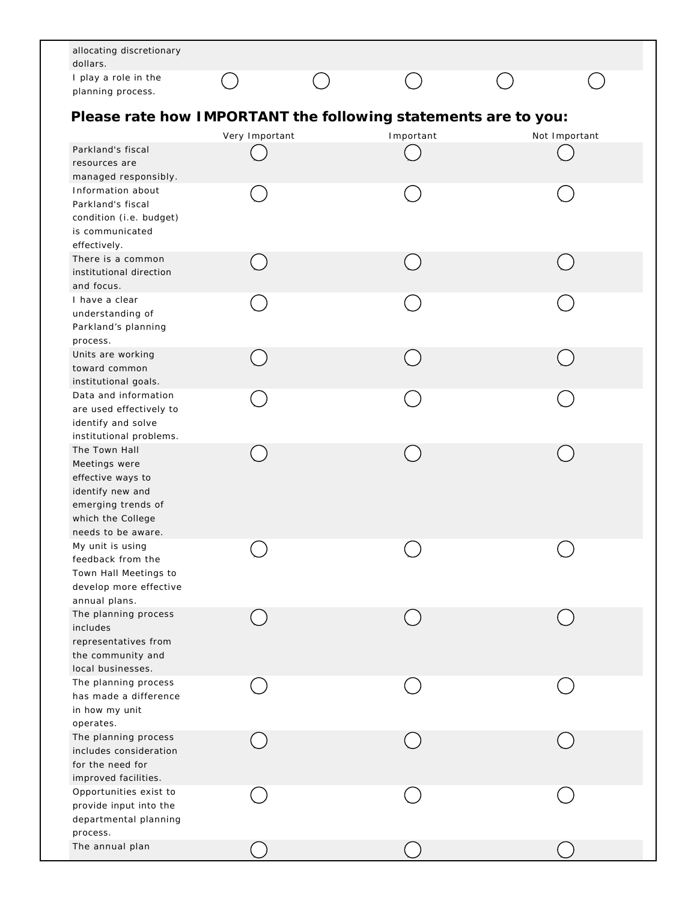| allocating discretionary<br>dollars.                                                                                                     |                |           |               |  |
|------------------------------------------------------------------------------------------------------------------------------------------|----------------|-----------|---------------|--|
| I play a role in the<br>planning process.                                                                                                |                |           |               |  |
| Please rate how IMPORTANT the following statements are to you:                                                                           | Very Important | Important | Not Important |  |
| Parkland's fiscal<br>resources are                                                                                                       |                |           |               |  |
| managed responsibly.<br>Information about<br>Parkland's fiscal<br>condition (i.e. budget)<br>is communicated<br>effectively.             |                |           |               |  |
| There is a common<br>institutional direction<br>and focus.                                                                               |                |           |               |  |
| I have a clear<br>understanding of<br>Parkland's planning<br>process.                                                                    |                |           |               |  |
| Units are working<br>toward common<br>institutional goals.                                                                               |                |           |               |  |
| Data and information<br>are used effectively to<br>identify and solve<br>institutional problems.                                         |                |           |               |  |
| The Town Hall<br>Meetings were<br>effective ways to<br>identify new and<br>emerging trends of<br>which the College<br>needs to be aware. |                |           |               |  |
| My unit is using<br>feedback from the<br>Town Hall Meetings to<br>develop more effective<br>annual plans.                                |                |           |               |  |
| The planning process<br>includes<br>representatives from<br>the community and<br>local businesses.                                       |                |           |               |  |
| The planning process<br>has made a difference<br>in how my unit                                                                          |                |           |               |  |
| operates.<br>The planning process<br>includes consideration<br>for the need for                                                          |                |           |               |  |
| improved facilities.<br>Opportunities exist to<br>provide input into the<br>departmental planning                                        |                |           |               |  |
| process.<br>The annual plan                                                                                                              |                |           |               |  |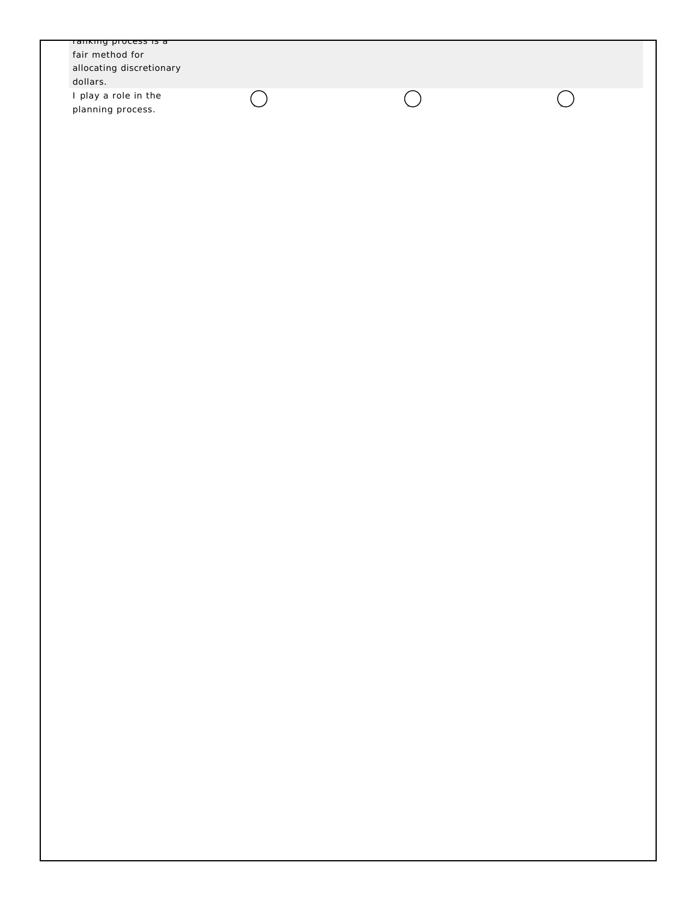| allocating discretionary<br>dollars.      |            |  |
|-------------------------------------------|------------|--|
| I play a role in the<br>planning process. | $\bigcirc$ |  |
|                                           |            |  |
|                                           |            |  |
|                                           |            |  |
|                                           |            |  |
|                                           |            |  |
|                                           |            |  |
|                                           |            |  |
|                                           |            |  |
|                                           |            |  |
|                                           |            |  |
|                                           |            |  |
|                                           |            |  |
|                                           |            |  |
|                                           |            |  |
|                                           |            |  |
|                                           |            |  |
|                                           |            |  |
|                                           |            |  |
|                                           |            |  |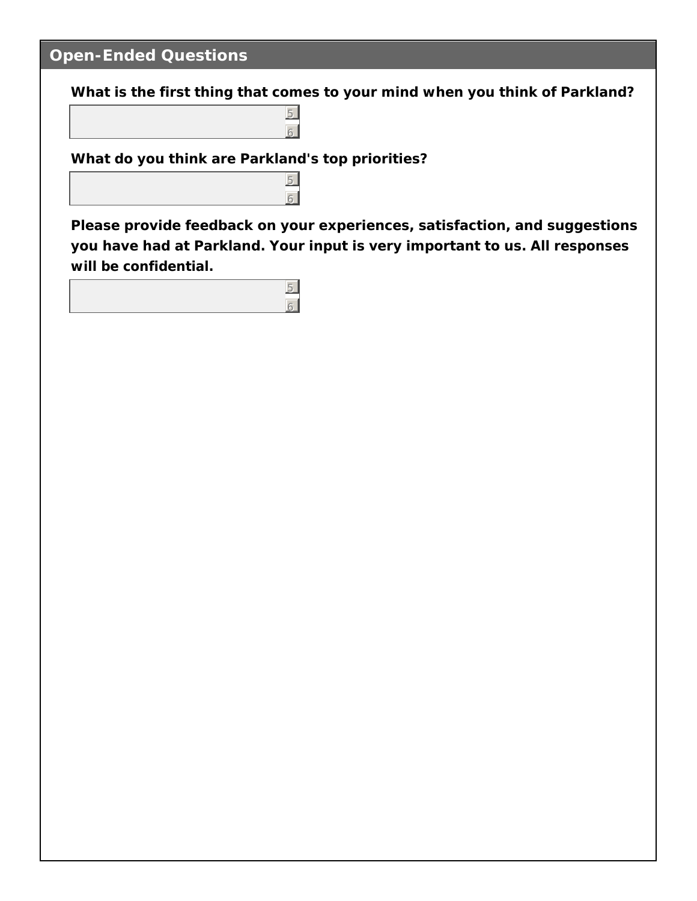# **Open-Ended Questions**

**What is the first thing that comes to your mind when you think of Parkland?**

**What do you think are Parkland's top priorities?**

5 6

5  $6<sup>1</sup>$ 

5 6

**Please provide feedback on your experiences, satisfaction, and suggestions you have had at Parkland. Your input is very important to us. All responses will be confidential.**